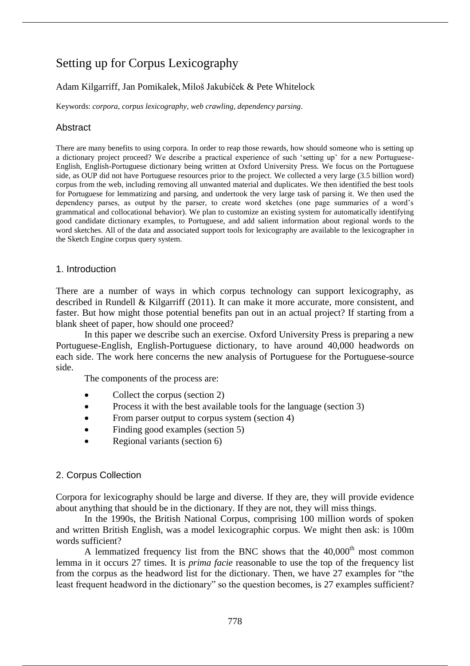# Setting up for Corpus Lexicography

# Adam Kilgarriff, Jan Pomikalek, Miloš Jakubíček & Pete Whitelock

Keywords: *corpora*, *corpus lexicography*, *web crawling*, *dependency parsing*.

# **Abstract**

There are many benefits to using corpora. In order to reap those rewards, how should someone who is setting up a dictionary project proceed? We describe a practical experience of such 'setting up' for a new Portuguese-English, English-Portuguese dictionary being written at Oxford University Press. We focus on the Portuguese side, as OUP did not have Portuguese resources prior to the project. We collected a very large (3.5 billion word) corpus from the web, including removing all unwanted material and duplicates. We then identified the best tools for Portuguese for lemmatizing and parsing, and undertook the very large task of parsing it. We then used the dependency parses, as output by the parser, to create word sketches (one page summaries of a word's grammatical and collocational behavior). We plan to customize an existing system for automatically identifying good candidate dictionary examples, to Portuguese, and add salient information about regional words to the word sketches. All of the data and associated support tools for lexicography are available to the lexicographer in the Sketch Engine corpus query system.

## 1. Introduction

There are a number of ways in which corpus technology can support lexicography, as described in Rundell & Kilgarriff (2011). It can make it more accurate, more consistent, and faster. But how might those potential benefits pan out in an actual project? If starting from a blank sheet of paper, how should one proceed?

In this paper we describe such an exercise. Oxford University Press is preparing a new Portuguese-English, English-Portuguese dictionary, to have around 40,000 headwords on each side. The work here concerns the new analysis of Portuguese for the Portuguese-source side.

The components of the process are:

- Collect the corpus (section 2)
- Process it with the best available tools for the language (section 3)
- From parser output to corpus system (section 4)
- Finding good examples (section 5)
- Regional variants (section 6)

# 2. Corpus Collection

Corpora for lexicography should be large and diverse. If they are, they will provide evidence about anything that should be in the dictionary. If they are not, they will miss things.

In the 1990s, the British National Corpus, comprising 100 million words of spoken and written British English, was a model lexicographic corpus. We might then ask: is 100m words sufficient?

A lemmatized frequency list from the BNC shows that the  $40,000<sup>th</sup>$  most common lemma in it occurs 27 times. It is *prima facie* reasonable to use the top of the frequency list from the corpus as the headword list for the dictionary. Then, we have 27 examples for "the least frequent headword in the dictionary" so the question becomes, is 27 examples sufficient?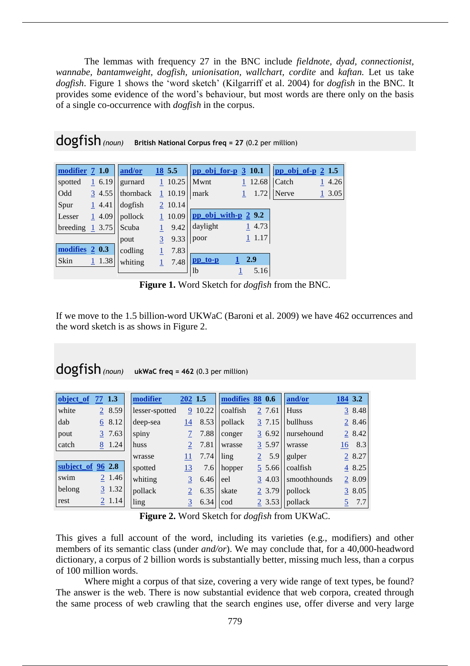The lemmas with frequency 27 in the BNC include *fieldnote, dyad, connectionist, wannabe, bantamweight, dogfish, unionisation, wallchart, cordite* and *kaftan.* Let us take *dogfish*. Figure 1 shows the 'word sketch' (Kilgarriff et al. 2004) for *dogfish* in the BNC. It provides some evidence of the word's behaviour, but most words are there only on the basis of a single co-occurrence with *dogfish* in the corpus.

| modifier                  | $7\,1.0$  | and/or    |                | $18\,5.5$   | $pp_0$ obj_for-p $\overline{3}$ 10.1 |  |         | $pp$ obj of-p 2 1.5 |  |        |
|---------------------------|-----------|-----------|----------------|-------------|--------------------------------------|--|---------|---------------------|--|--------|
| spotted                   | 1 6.19    | gurnard   |                | 1 10.25     | Mwnt                                 |  | 1 12.68 | Catch               |  | 1 4.26 |
| Odd                       | $3\,4.55$ | thornback |                | $1 \ 10.19$ | mark                                 |  | 1.72    | Nerve               |  | 13.05  |
| Spur                      | 14.41     | dogfish   |                | 2 10.14     |                                      |  |         |                     |  |        |
| Lesser                    | 1 4.09    | pollock   |                | 1 10.09     | $pp$ obj_with- $p$ 2 9.2             |  |         |                     |  |        |
| breeding $\boxed{1}$ 3.75 |           | Scuba     |                | 9.42        | daylight                             |  | 14.73   |                     |  |        |
|                           |           | pout      | 3 <sup>7</sup> | 9.33        | poor                                 |  | 11.17   |                     |  |        |
| modifies                  | $2\;0.3$  | codling   | $\mathbf{1}$   | 7.83        |                                      |  |         |                     |  |        |
| Skin                      | 1, 1.38   | whiting   |                | 7.48        | pp to-p                              |  | 2.9     |                     |  |        |
|                           |           |           |                |             | 1b                                   |  | 5.16    |                     |  |        |

dogfish*(noun)* **British National Corpus freq = 27** (0.2 per million)

**Figure 1.** Word Sketch for *dogfish* from the BNC.

If we move to the 1.5 billion-word UKWaC (Baroni et al. 2009) we have 462 occurrences and the word sketch is as shows in Figure 2.

dogfish*(noun)* **ukWaC freq = 462** (0.3 per million)

| object_of         | 77 | 1.3         | modifier       | 202 1.5        |         | modifies | 88 0.6 | and/or                       | 184 3.2 |                      |
|-------------------|----|-------------|----------------|----------------|---------|----------|--------|------------------------------|---------|----------------------|
| white             |    | 2 8.59      | lesser-spotted |                | 9 10.22 | coalfish | 2 7.61 | $\blacksquare$ Huss          |         | 3 8.48               |
| dab               |    | 6 8.12      | deep-sea       | 14             | 8.53    | pollack  |        | $3$ 7.15 bullbuss            |         | 28.46                |
| pout              |    | 3 7.63      | spiny          |                | 7.88    | conger   | 36.92  | nursehound                   |         | 2 8.42               |
| catch             |    | 8 1.24      | huss           | $\overline{2}$ | 7.81    | wrasse   | 35.97  | wrasse                       |         | $16$ 8.3             |
|                   |    |             | wrasse         | <u>11</u>      | 7.74    | $\lim g$ |        | $\frac{2}{5.9}$   gulper     |         | 28.27                |
| subject_of 96 2.8 |    |             | spotted        | <u> 13</u>     | 7.6     | hopper   |        | $\overline{5}$ 5.66 coalfish |         | $\underline{4}$ 8.25 |
| swim              |    | 2 1.46      | whiting        | 3              | 6.46    | eel      |        | 3 4.03 smoothhounds          |         | 2 8.09               |
| belong            |    | $3 \; 1.32$ | pollack        |                | 6.35    | skate    | 2 3.79 | pollock                      |         | 3 8.05               |
| rest              |    | 2, 1.14     | ling           | 3              | 6.34    | cod      | 2 3.53 | pollack                      |         | 7.7                  |

**Figure 2.** Word Sketch for *dogfish* from UKWaC.

This gives a full account of the word, including its varieties (e.g., modifiers) and other members of its semantic class (under *and/or*). We may conclude that, for a 40,000-headword dictionary, a corpus of 2 billion words is substantially better, missing much less, than a corpus of 100 million words.

Where might a corpus of that size, covering a very wide range of text types, be found? The answer is the web. There is now substantial evidence that web corpora, created through the same process of web crawling that the search engines use, offer diverse and very large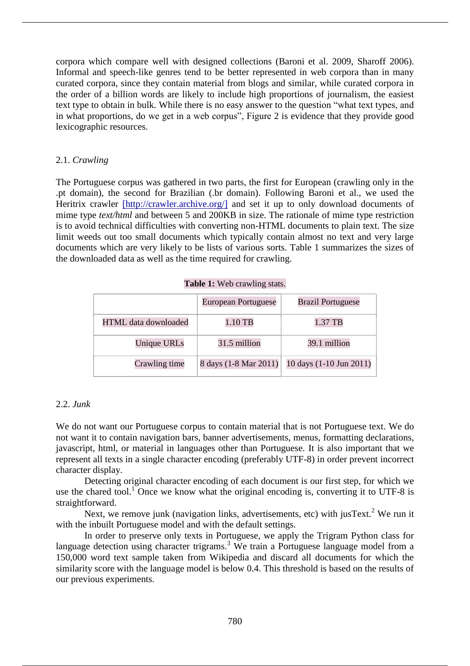corpora which compare well with designed collections (Baroni et al. 2009, Sharoff 2006). Informal and speech-like genres tend to be better represented in web corpora than in many curated corpora, since they contain material from blogs and similar, while curated corpora in the order of a billion words are likely to include high proportions of journalism, the easiest text type to obtain in bulk. While there is no easy answer to the question "what text types, and in what proportions, do we get in a web corpus", Figure 2 is evidence that they provide good lexicographic resources.

## 2.1. *Crawling*

The Portuguese corpus was gathered in two parts, the first for European (crawling only in the .pt domain), the second for Brazilian (.br domain). Following Baroni et al., we used the Heritrix crawler [http://crawler.archive.org/] and set it up to only download documents of mime type *text/html* and between 5 and 200KB in size. The rationale of mime type restriction is to avoid technical difficulties with converting non-HTML documents to plain text. The size limit weeds out too small documents which typically contain almost no text and very large documents which are very likely to be lists of various sorts. Table 1 summarizes the sizes of the downloaded data as well as the time required for crawling.

| <b>Table 1:</b> Web crawling stats. |                            |                                               |  |  |  |  |  |
|-------------------------------------|----------------------------|-----------------------------------------------|--|--|--|--|--|
|                                     | <b>European Portuguese</b> | <b>Brazil Portuguese</b>                      |  |  |  |  |  |
| HTML data downloaded                | 1.10 TB                    | 1.37 TB                                       |  |  |  |  |  |
| <b>Unique URLs</b>                  | 31.5 million               | 39.1 million                                  |  |  |  |  |  |
| Crawling time                       |                            | 8 days (1-8 Mar 2011) 10 days (1-10 Jun 2011) |  |  |  |  |  |

**Table 1:** Web crawling stats.

# 2.2. *Junk*

We do not want our Portuguese corpus to contain material that is not Portuguese text. We do not want it to contain navigation bars, banner advertisements, menus, formatting declarations, javascript, html, or material in languages other than Portuguese. It is also important that we represent all texts in a single character encoding (preferably UTF-8) in order prevent incorrect character display.

Detecting original character encoding of each document is our first step, for which we use the chared tool.<sup>1</sup> Once we know what the original encoding is, converting it to UTF-8 is straightforward.

Next, we remove junk (navigation links, advertisements, etc) with jusText.<sup>2</sup> We run it with the inbuilt Portuguese model and with the default settings.

In order to preserve only texts in Portuguese, we apply the Trigram Python class for language detection using character trigrams.<sup>3</sup> We train a Portuguese language model from a 150,000 word text sample taken from Wikipedia and discard all documents for which the similarity score with the language model is below 0.4. This threshold is based on the results of our previous experiments.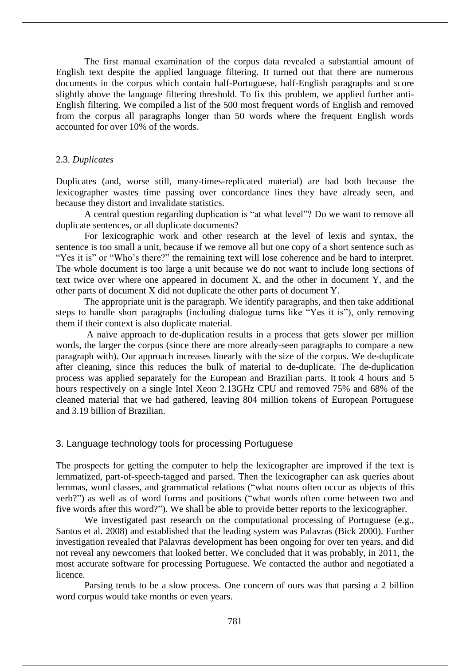The first manual examination of the corpus data revealed a substantial amount of English text despite the applied language filtering. It turned out that there are numerous documents in the corpus which contain half-Portuguese, half-English paragraphs and score slightly above the language filtering threshold. To fix this problem, we applied further anti-English filtering. We compiled a list of the 500 most frequent words of English and removed from the corpus all paragraphs longer than 50 words where the frequent English words accounted for over 10% of the words.

#### 2.3. *Duplicates*

Duplicates (and, worse still, many-times-replicated material) are bad both because the lexicographer wastes time passing over concordance lines they have already seen, and because they distort and invalidate statistics.

A central question regarding duplication is "at what level"? Do we want to remove all duplicate sentences, or all duplicate documents?

For lexicographic work and other research at the level of lexis and syntax, the sentence is too small a unit, because if we remove all but one copy of a short sentence such as "Yes it is" or "Who's there?" the remaining text will lose coherence and be hard to interpret. The whole document is too large a unit because we do not want to include long sections of text twice over where one appeared in document X, and the other in document Y, and the other parts of document X did not duplicate the other parts of document Y.

The appropriate unit is the paragraph. We identify paragraphs, and then take additional steps to handle short paragraphs (including dialogue turns like "Yes it is"), only removing them if their context is also duplicate material.

A naïve approach to de-duplication results in a process that gets slower per million words, the larger the corpus (since there are more already-seen paragraphs to compare a new paragraph with). Our approach increases linearly with the size of the corpus. We de-duplicate after cleaning, since this reduces the bulk of material to de-duplicate. The de-duplication process was applied separately for the European and Brazilian parts. It took 4 hours and 5 hours respectively on a single Intel Xeon 2.13GHz CPU and removed 75% and 68% of the cleaned material that we had gathered, leaving 804 million tokens of European Portuguese and 3.19 billion of Brazilian.

## 3. Language technology tools for processing Portuguese

The prospects for getting the computer to help the lexicographer are improved if the text is lemmatized, part-of-speech-tagged and parsed. Then the lexicographer can ask queries about lemmas, word classes, and grammatical relations ("what nouns often occur as objects of this verb?") as well as of word forms and positions ("what words often come between two and five words after this word?"). We shall be able to provide better reports to the lexicographer.

We investigated past research on the computational processing of Portuguese (e.g., Santos et al. 2008) and established that the leading system was Palavras (Bick 2000). Further investigation revealed that Palavras development has been ongoing for over ten years, and did not reveal any newcomers that looked better. We concluded that it was probably, in 2011, the most accurate software for processing Portuguese. We contacted the author and negotiated a licence.

Parsing tends to be a slow process. One concern of ours was that parsing a 2 billion word corpus would take months or even years.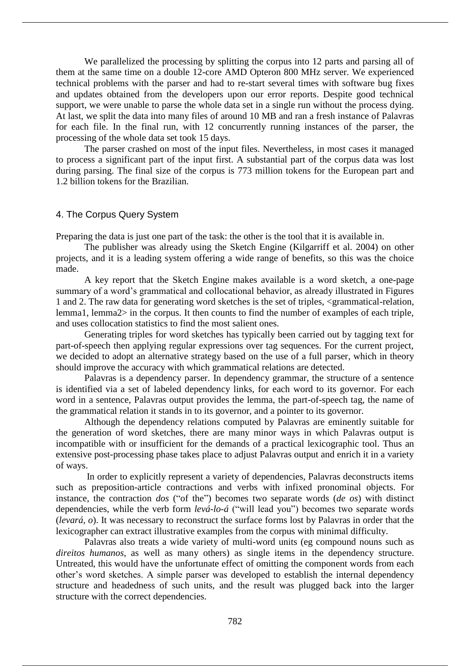We parallelized the processing by splitting the corpus into 12 parts and parsing all of them at the same time on a double 12-core AMD Opteron 800 MHz server. We experienced technical problems with the parser and had to re-start several times with software bug fixes and updates obtained from the developers upon our error reports. Despite good technical support, we were unable to parse the whole data set in a single run without the process dying. At last, we split the data into many files of around 10 MB and ran a fresh instance of Palavras for each file. In the final run, with 12 concurrently running instances of the parser, the processing of the whole data set took 15 days.

The parser crashed on most of the input files. Nevertheless, in most cases it managed to process a significant part of the input first. A substantial part of the corpus data was lost during parsing. The final size of the corpus is 773 million tokens for the European part and 1.2 billion tokens for the Brazilian.

## 4. The Corpus Query System

Preparing the data is just one part of the task: the other is the tool that it is available in.

The publisher was already using the Sketch Engine (Kilgarriff et al. 2004) on other projects, and it is a leading system offering a wide range of benefits, so this was the choice made.

A key report that the Sketch Engine makes available is a word sketch, a one-page summary of a word's grammatical and collocational behavior, as already illustrated in Figures 1 and 2. The raw data for generating word sketches is the set of triples, <grammatical-relation, lemma1, lemma2> in the corpus. It then counts to find the number of examples of each triple, and uses collocation statistics to find the most salient ones.

Generating triples for word sketches has typically been carried out by tagging text for part-of-speech then applying regular expressions over tag sequences. For the current project, we decided to adopt an alternative strategy based on the use of a full parser, which in theory should improve the accuracy with which grammatical relations are detected.

Palavras is a dependency parser. In dependency grammar, the structure of a sentence is identified via a set of labeled dependency links, for each word to its governor. For each word in a sentence, Palavras output provides the lemma, the part-of-speech tag, the name of the grammatical relation it stands in to its governor, and a pointer to its governor.

Although the dependency relations computed by Palavras are eminently suitable for the generation of word sketches, there are many minor ways in which Palavras output is incompatible with or insufficient for the demands of a practical lexicographic tool. Thus an extensive post-processing phase takes place to adjust Palavras output and enrich it in a variety of ways.

In order to explicitly represent a variety of dependencies, Palavras deconstructs items such as preposition-article contractions and verbs with infixed pronominal objects. For instance, the contraction *dos* ("of the") becomes two separate words (*de os*) with distinct dependencies, while the verb form *levá-lo-á* ("will lead you") becomes two separate words (*levará, o*). It was necessary to reconstruct the surface forms lost by Palavras in order that the lexicographer can extract illustrative examples from the corpus with minimal difficulty.

Palavras also treats a wide variety of multi-word units (eg compound nouns such as *direitos humanos*, as well as many others) as single items in the dependency structure. Untreated, this would have the unfortunate effect of omitting the component words from each other's word sketches. A simple parser was developed to establish the internal dependency structure and headedness of such units, and the result was plugged back into the larger structure with the correct dependencies.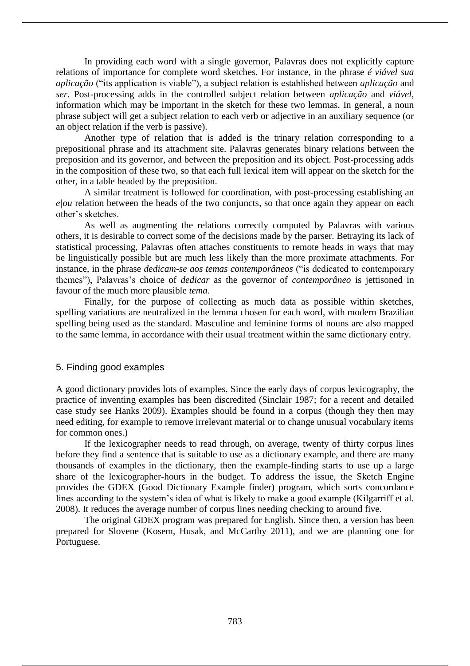In providing each word with a single governor, Palavras does not explicitly capture relations of importance for complete word sketches. For instance, in the phrase *é viável sua aplicação* ("its application is viable"), a subject relation is established between *aplicação* and *ser*. Post-processing adds in the controlled subject relation between *aplicação* and *viável*, information which may be important in the sketch for these two lemmas. In general, a noun phrase subject will get a subject relation to each verb or adjective in an auxiliary sequence (or an object relation if the verb is passive).

Another type of relation that is added is the trinary relation corresponding to a prepositional phrase and its attachment site. Palavras generates binary relations between the preposition and its governor, and between the preposition and its object. Post-processing adds in the composition of these two, so that each full lexical item will appear on the sketch for the other, in a table headed by the preposition.

A similar treatment is followed for coordination, with post-processing establishing an *e|ou* relation between the heads of the two conjuncts, so that once again they appear on each other's sketches.

As well as augmenting the relations correctly computed by Palavras with various others, it is desirable to correct some of the decisions made by the parser. Betraying its lack of statistical processing, Palavras often attaches constituents to remote heads in ways that may be linguistically possible but are much less likely than the more proximate attachments. For instance, in the phrase *dedicam-se aos temas contemporâneos* ("is dedicated to contemporary themes"), Palavras's choice of *dedicar* as the governor of *contemporâneo* is jettisoned in favour of the much more plausible *tema*.

Finally, for the purpose of collecting as much data as possible within sketches, spelling variations are neutralized in the lemma chosen for each word, with modern Brazilian spelling being used as the standard. Masculine and feminine forms of nouns are also mapped to the same lemma, in accordance with their usual treatment within the same dictionary entry.

## 5. Finding good examples

A good dictionary provides lots of examples. Since the early days of corpus lexicography, the practice of inventing examples has been discredited (Sinclair 1987; for a recent and detailed case study see Hanks 2009). Examples should be found in a corpus (though they then may need editing, for example to remove irrelevant material or to change unusual vocabulary items for common ones.)

If the lexicographer needs to read through, on average, twenty of thirty corpus lines before they find a sentence that is suitable to use as a dictionary example, and there are many thousands of examples in the dictionary, then the example-finding starts to use up a large share of the lexicographer-hours in the budget. To address the issue, the Sketch Engine provides the GDEX (Good Dictionary Example finder) program, which sorts concordance lines according to the system's idea of what is likely to make a good example (Kilgarriff et al. 2008). It reduces the average number of corpus lines needing checking to around five.

The original GDEX program was prepared for English. Since then, a version has been prepared for Slovene (Kosem, Husak, and McCarthy 2011), and we are planning one for Portuguese.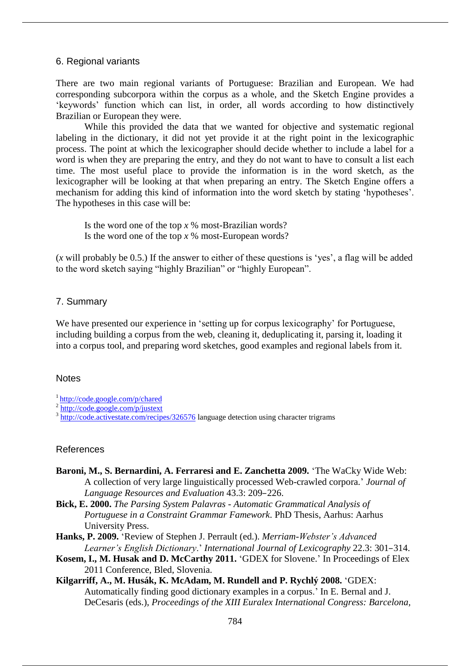### 6. Regional variants

There are two main regional variants of Portuguese: Brazilian and European. We had corresponding subcorpora within the corpus as a whole, and the Sketch Engine provides a 'keywords' function which can list, in order, all words according to how distinctively Brazilian or European they were.

While this provided the data that we wanted for objective and systematic regional labeling in the dictionary, it did not yet provide it at the right point in the lexicographic process. The point at which the lexicographer should decide whether to include a label for a word is when they are preparing the entry, and they do not want to have to consult a list each time. The most useful place to provide the information is in the word sketch, as the lexicographer will be looking at that when preparing an entry. The Sketch Engine offers a mechanism for adding this kind of information into the word sketch by stating 'hypotheses'. The hypotheses in this case will be:

Is the word one of the top *x* % most-Brazilian words? Is the word one of the top *x* % most-European words?

(*x* will probably be 0.5.) If the answer to either of these questions is 'yes', a flag will be added to the word sketch saying "highly Brazilian" or "highly European".

## 7. Summary

We have presented our experience in 'setting up for corpus lexicography' for Portuguese, including building a corpus from the web, cleaning it, deduplicating it, parsing it, loading it into a corpus tool, and preparing word sketches, good examples and regional labels from it.

#### **Notes**

<sup>1</sup>http://code.google.com/p/chared

### References

- **Baroni, M., S. Bernardini, A. Ferraresi and E. Zanchetta 2009.** 'The WaCky Wide Web: A collection of very large linguistically processed Web-crawled corpora.' *Journal of Language Resources and Evaluation* 43.3: 209–226.
- **Bick, E. 2000.** *The Parsing System Palavras - Automatic Grammatical Analysis of Portuguese in a Constraint Grammar Famework*. PhD Thesis, Aarhus: Aarhus University Press.
- **Hanks, P. 2009.** 'Review of Stephen J. Perrault (ed.). *Merriam-Webster's Advanced Learner's English Dictionary*.' *International Journal of Lexicography* 22.3: 301–314.
- **Kosem, I., M. Husak and D. McCarthy 2011.** 'GDEX for Slovene.' In Proceedings of Elex 2011 Conference, Bled, Slovenia.
- **Kilgarriff, A., M. Husák, K. McAdam, M. Rundell and P. Rychlý 2008.** 'GDEX: Automatically finding good dictionary examples in a corpus.' In E. Bernal and J. DeCesaris (eds.), *Proceedings of the XIII Euralex International Congress: Barcelona,*

<sup>&</sup>lt;sup>2</sup> http://code.google.com/p/justext

<sup>&</sup>lt;sup>3</sup> http://code.activestate.com/recipes/326576 language detection using character trigrams